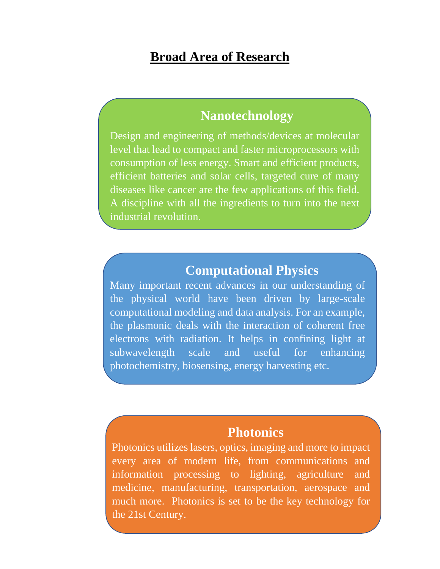# **Broad Area of Research**

### **Nanotechnology**

Design and engineering of methods/devices at molecular level that lead to compact and faster microprocessors with consumption of less energy. Smart and efficient products, efficient batteries and solar cells, targeted cure of many diseases like cancer are the few applications of this field. A discipline with all the ingredients to turn into the next industrial revolution.

#### **Computational Physics**

Many important recent advances in our understanding of the physical world have been driven by large-scale computational modeling and data analysis. For an example, the plasmonic deals with the interaction of coherent free electrons with radiation. It helps in confining light at subwavelength scale and useful for enhancing photochemistry, biosensing, energy harvesting etc.

### **Photonics**

Photonics utilizes lasers, optics, imaging and more to impact every area of modern life, from communications and information processing to lighting, agriculture and medicine, manufacturing, transportation, aerospace and much more. Photonics is set to be the key technology for the 21st Century.